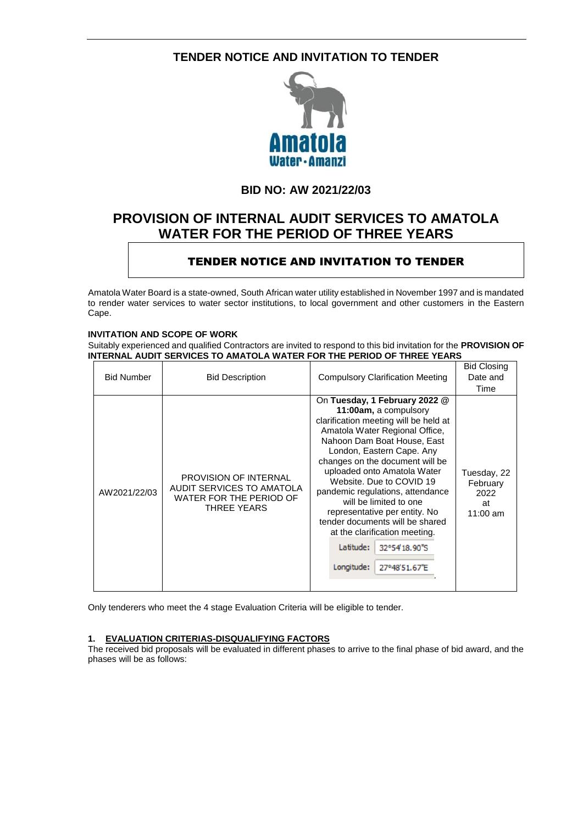## **TENDER NOTICE AND INVITATION TO TENDER**



## **BID NO: AW 2021/22/03**

# **PROVISION OF INTERNAL AUDIT SERVICES TO AMATOLA WATER FOR THE PERIOD OF THREE YEARS**

## TENDER NOTICE AND INVITATION TO TENDER

Amatola Water Board is a state-owned, South African water utility established in November 1997 and is mandated to render water services to water sector institutions, to local government and other customers in the Eastern Cape.

## **INVITATION AND SCOPE OF WORK**

Suitably experienced and qualified Contractors are invited to respond to this bid invitation for the **PROVISION OF INTERNAL AUDIT SERVICES TO AMATOLA WATER FOR THE PERIOD OF THREE YEARS**

|                   |                                                                                                     |                                                                                                                                                                                                                                                                                                                                                                                                                                                                                                                             | <b>Bid Closing</b>                                  |
|-------------------|-----------------------------------------------------------------------------------------------------|-----------------------------------------------------------------------------------------------------------------------------------------------------------------------------------------------------------------------------------------------------------------------------------------------------------------------------------------------------------------------------------------------------------------------------------------------------------------------------------------------------------------------------|-----------------------------------------------------|
| <b>Bid Number</b> | <b>Bid Description</b>                                                                              | <b>Compulsory Clarification Meeting</b>                                                                                                                                                                                                                                                                                                                                                                                                                                                                                     | Date and<br>Time                                    |
| AW2021/22/03      | <b>PROVISION OF INTERNAL</b><br>AUDIT SERVICES TO AMATOLA<br>WATER FOR THE PERIOD OF<br>THREE YEARS | On Tuesday, 1 February 2022 @<br>11:00am, a compulsory<br>clarification meeting will be held at<br>Amatola Water Regional Office,<br>Nahoon Dam Boat House, East<br>London, Eastern Cape. Any<br>changes on the document will be<br>uploaded onto Amatola Water<br>Website. Due to COVID 19<br>pandemic regulations, attendance<br>will be limited to one<br>representative per entity. No<br>tender documents will be shared<br>at the clarification meeting.<br>Latitude:<br>32°54'18.90"S<br>Longitude:<br>27°48'51.67"E | Tuesday, 22<br>February<br>2022<br>at<br>11:00 $am$ |

Only tenderers who meet the 4 stage Evaluation Criteria will be eligible to tender.

### **1. EVALUATION CRITERIAS-DISQUALIFYING FACTORS**

The received bid proposals will be evaluated in different phases to arrive to the final phase of bid award, and the phases will be as follows: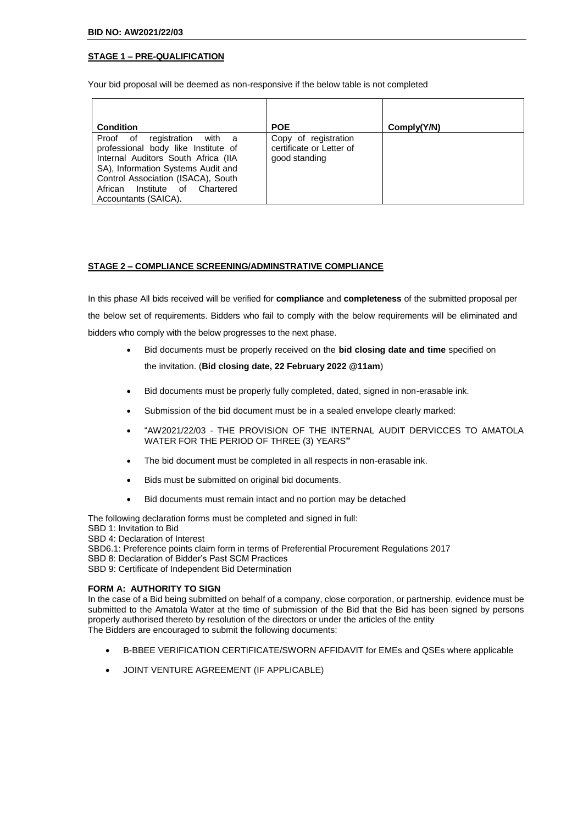## **STAGE 1 – PRE-QUALIFICATION**

Your bid proposal will be deemed as non-responsive if the below table is not completed

| <b>Condition</b>                                                                                                                                                                                                                                 | <b>POE</b>                                                        | Comply(Y/N) |
|--------------------------------------------------------------------------------------------------------------------------------------------------------------------------------------------------------------------------------------------------|-------------------------------------------------------------------|-------------|
| Proof of registration with a<br>professional body like Institute of<br>Internal Auditors South Africa (IIA<br>SA), Information Systems Audit and<br>Control Association (ISACA), South<br>African Institute of Chartered<br>Accountants (SAICA). | Copy of registration<br>certificate or Letter of<br>good standing |             |

#### **STAGE 2 – COMPLIANCE SCREENING/ADMINSTRATIVE COMPLIANCE**

In this phase All bids received will be verified for **compliance** and **completeness** of the submitted proposal per the below set of requirements. Bidders who fail to comply with the below requirements will be eliminated and bidders who comply with the below progresses to the next phase.

- Bid documents must be properly received on the **bid closing date and time** specified on the invitation. (**Bid closing date, 22 February 2022 @11am**)
- Bid documents must be properly fully completed, dated, signed in non-erasable ink.
- Submission of the bid document must be in a sealed envelope clearly marked:
- "AW2021/22/03 THE PROVISION OF THE INTERNAL AUDIT DERVICCES TO AMATOLA WATER FOR THE PERIOD OF THREE (3) YEARS**"**
- The bid document must be completed in all respects in non-erasable ink.
- Bids must be submitted on original bid documents.
- Bid documents must remain intact and no portion may be detached

The following declaration forms must be completed and signed in full: SBD 1: Invitation to Bid

SBD 4: Declaration of Interest

SBD6.1: Preference points claim form in terms of Preferential Procurement Regulations 2017

SBD 8: Declaration of Bidder's Past SCM Practices

SBD 9: Certificate of Independent Bid Determination

#### **FORM A: AUTHORITY TO SIGN**

In the case of a Bid being submitted on behalf of a company, close corporation, or partnership, evidence must be submitted to the Amatola Water at the time of submission of the Bid that the Bid has been signed by persons properly authorised thereto by resolution of the directors or under the articles of the entity The Bidders are encouraged to submit the following documents:

- B-BBEE VERIFICATION CERTIFICATE/SWORN AFFIDAVIT for EMEs and QSEs where applicable
- JOINT VENTURE AGREEMENT (IF APPLICABLE)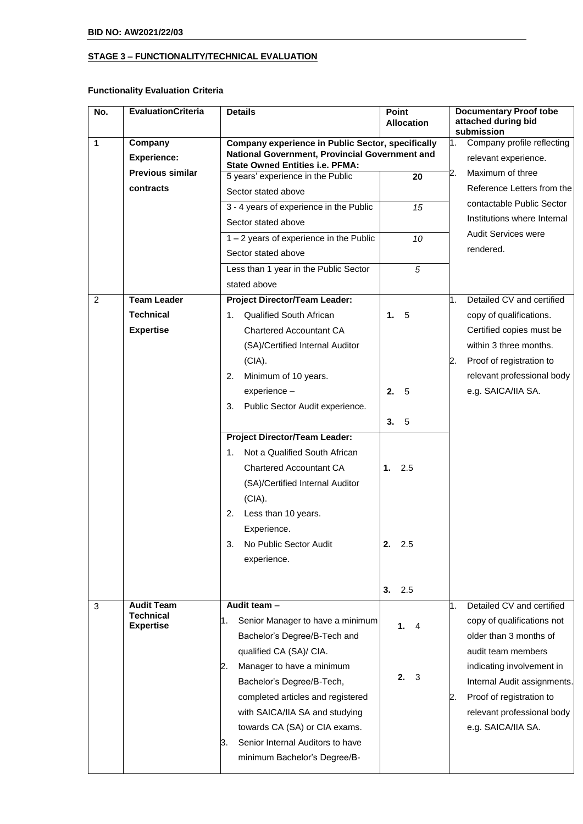## **STAGE 3 – FUNCTIONALITY/TECHNICAL EVALUATION**

## **Functionality Evaluation Criteria**

| No.            | <b>EvaluationCriteria</b>            | <b>Details</b>                                                                                             | Point<br><b>Allocation</b> | <b>Documentary Proof tobe</b><br>attached during bid                   |
|----------------|--------------------------------------|------------------------------------------------------------------------------------------------------------|----------------------------|------------------------------------------------------------------------|
| 1              | Company<br><b>Experience:</b>        | <b>Company experience in Public Sector, specifically</b><br>National Government, Provincial Government and |                            | submission<br>Company profile reflecting<br>1.<br>relevant experience. |
|                | <b>Previous similar</b>              | <b>State Owned Entities i.e. PFMA:</b>                                                                     |                            | Maximum of three<br>2.                                                 |
|                | contracts                            | 5 years' experience in the Public                                                                          | 20                         | Reference Letters from the                                             |
|                |                                      | Sector stated above                                                                                        |                            | contactable Public Sector                                              |
|                |                                      | 3 - 4 years of experience in the Public                                                                    | 15                         | Institutions where Internal                                            |
|                |                                      | Sector stated above                                                                                        |                            | <b>Audit Services were</b>                                             |
|                |                                      | $1 - 2$ years of experience in the Public                                                                  | 10                         | rendered.                                                              |
|                |                                      | Sector stated above                                                                                        |                            |                                                                        |
|                |                                      | Less than 1 year in the Public Sector                                                                      | 5                          |                                                                        |
|                |                                      | stated above                                                                                               |                            |                                                                        |
| $\overline{2}$ | <b>Team Leader</b>                   | <b>Project Director/Team Leader:</b>                                                                       |                            | Detailed CV and certified<br>1.                                        |
|                | <b>Technical</b>                     | 1. Qualified South African                                                                                 | - 5<br>1.                  | copy of qualifications.                                                |
|                | <b>Expertise</b>                     | <b>Chartered Accountant CA</b>                                                                             |                            | Certified copies must be                                               |
|                |                                      | (SA)/Certified Internal Auditor                                                                            |                            | within 3 three months.                                                 |
|                |                                      | (CIA).                                                                                                     |                            | Proof of registration to<br>2.                                         |
|                |                                      | Minimum of 10 years.<br>2.                                                                                 |                            | relevant professional body                                             |
|                |                                      | experience -                                                                                               | - 5<br>2.                  | e.g. SAICA/IIA SA.                                                     |
|                |                                      | Public Sector Audit experience.<br>3.                                                                      |                            |                                                                        |
|                |                                      |                                                                                                            | - 5<br>3.                  |                                                                        |
|                |                                      | <b>Project Director/Team Leader:</b>                                                                       |                            |                                                                        |
|                |                                      | Not a Qualified South African<br>1.                                                                        |                            |                                                                        |
|                |                                      | <b>Chartered Accountant CA</b>                                                                             | 1.<br>2.5                  |                                                                        |
|                |                                      | (SA)/Certified Internal Auditor                                                                            |                            |                                                                        |
|                |                                      | (CIA).                                                                                                     |                            |                                                                        |
|                |                                      | Less than 10 years.<br>2.                                                                                  |                            |                                                                        |
|                |                                      | Experience.                                                                                                |                            |                                                                        |
|                |                                      | No Public Sector Audit                                                                                     | 2.<br>2.5                  |                                                                        |
|                |                                      | experience.                                                                                                |                            |                                                                        |
|                |                                      |                                                                                                            |                            |                                                                        |
|                |                                      |                                                                                                            | 3.<br>2.5                  |                                                                        |
| 3              | <b>Audit Team</b>                    | Audit team $-$                                                                                             |                            | Detailed CV and certified<br>1.                                        |
|                | <b>Technical</b><br><b>Expertise</b> | Senior Manager to have a minimum<br>1.                                                                     | 1.4                        | copy of qualifications not                                             |
|                |                                      | Bachelor's Degree/B-Tech and                                                                               |                            | older than 3 months of                                                 |
|                |                                      | qualified CA (SA)/ CIA.                                                                                    |                            | audit team members                                                     |
|                |                                      | Manager to have a minimum<br>2.                                                                            |                            | indicating involvement in                                              |
|                |                                      | Bachelor's Degree/B-Tech,                                                                                  | 2.<br>3                    | Internal Audit assignments.                                            |
|                |                                      | completed articles and registered                                                                          |                            | Proof of registration to<br>2.                                         |
|                |                                      | with SAICA/IIA SA and studying                                                                             |                            | relevant professional body                                             |
|                |                                      | towards CA (SA) or CIA exams.                                                                              |                            | e.g. SAICA/IIA SA.                                                     |
|                |                                      | Senior Internal Auditors to have<br>3.                                                                     |                            |                                                                        |
|                |                                      | minimum Bachelor's Degree/B-                                                                               |                            |                                                                        |
|                |                                      |                                                                                                            |                            |                                                                        |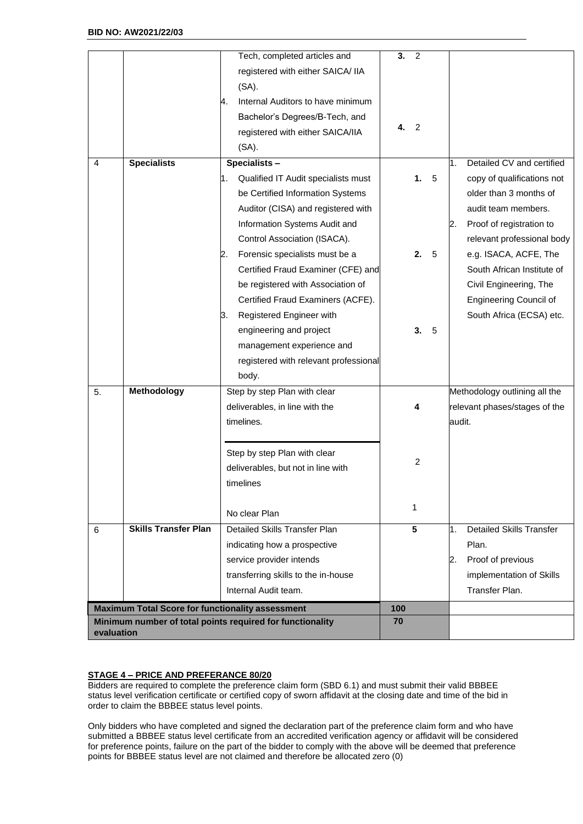|            |                                                         | Tech, completed articles and                              | 3.<br>2         |                                       |
|------------|---------------------------------------------------------|-----------------------------------------------------------|-----------------|---------------------------------------|
|            |                                                         | registered with either SAICA/ IIA                         |                 |                                       |
|            |                                                         | $(SA)$ .                                                  |                 |                                       |
|            |                                                         | Internal Auditors to have minimum<br>4.                   |                 |                                       |
|            |                                                         | Bachelor's Degrees/B-Tech, and                            |                 |                                       |
|            |                                                         | registered with either SAICA/IIA                          | 4.<br>2         |                                       |
|            |                                                         | $(SA)$ .                                                  |                 |                                       |
| 4          | <b>Specialists</b>                                      | Specialists-                                              |                 | Detailed CV and certified<br>1.       |
|            |                                                         | Qualified IT Audit specialists must<br>1.                 | 1.<br>5         | copy of qualifications not            |
|            |                                                         | be Certified Information Systems                          |                 | older than 3 months of                |
|            |                                                         | Auditor (CISA) and registered with                        |                 | audit team members.                   |
|            |                                                         | Information Systems Audit and                             |                 | Proof of registration to<br>2.        |
|            |                                                         | Control Association (ISACA).                              |                 | relevant professional body            |
|            |                                                         | Forensic specialists must be a<br>2.                      | 2.<br>5         | e.g. ISACA, ACFE, The                 |
|            |                                                         | Certified Fraud Examiner (CFE) and                        |                 | South African Institute of            |
|            |                                                         | be registered with Association of                         |                 | Civil Engineering, The                |
|            |                                                         | Certified Fraud Examiners (ACFE).                         |                 | <b>Engineering Council of</b>         |
|            |                                                         | Registered Engineer with<br>З.                            |                 | South Africa (ECSA) etc.              |
|            |                                                         | engineering and project                                   | 3.<br>5         |                                       |
|            |                                                         | management experience and                                 |                 |                                       |
|            |                                                         | registered with relevant professional                     |                 |                                       |
|            |                                                         | body.                                                     |                 |                                       |
|            |                                                         |                                                           |                 |                                       |
| 5.         | Methodology                                             | Step by step Plan with clear                              |                 | Methodology outlining all the         |
|            |                                                         | deliverables, in line with the                            | 4               | relevant phases/stages of the         |
|            |                                                         | timelines.                                                |                 | audit.                                |
|            |                                                         |                                                           |                 |                                       |
|            |                                                         | Step by step Plan with clear                              | $\overline{c}$  |                                       |
|            |                                                         | deliverables, but not in line with                        |                 |                                       |
|            |                                                         | timelines                                                 |                 |                                       |
|            |                                                         |                                                           | 1               |                                       |
|            |                                                         | No clear Plan                                             |                 |                                       |
| 6          | <b>Skills Transfer Plan</b>                             | <b>Detailed Skills Transfer Plan</b>                      | $5\phantom{.0}$ | <b>Detailed Skills Transfer</b><br>1. |
|            |                                                         | indicating how a prospective                              |                 | Plan.                                 |
|            |                                                         | service provider intends                                  |                 | Proof of previous<br>2.               |
|            |                                                         | transferring skills to the in-house                       |                 | implementation of Skills              |
|            |                                                         | Internal Audit team.                                      |                 | Transfer Plan.                        |
|            | <b>Maximum Total Score for functionality assessment</b> |                                                           | 100             |                                       |
|            |                                                         | Minimum number of total points required for functionality | 70              |                                       |
| evaluation |                                                         |                                                           |                 |                                       |

### **STAGE 4 – PRICE AND PREFERANCE 80/20**

Bidders are required to complete the preference claim form (SBD 6.1) and must submit their valid BBBEE status level verification certificate or certified copy of sworn affidavit at the closing date and time of the bid in order to claim the BBBEE status level points.

Only bidders who have completed and signed the declaration part of the preference claim form and who have submitted a BBBEE status level certificate from an accredited verification agency or affidavit will be considered for preference points, failure on the part of the bidder to comply with the above will be deemed that preference points for BBBEE status level are not claimed and therefore be allocated zero (0)